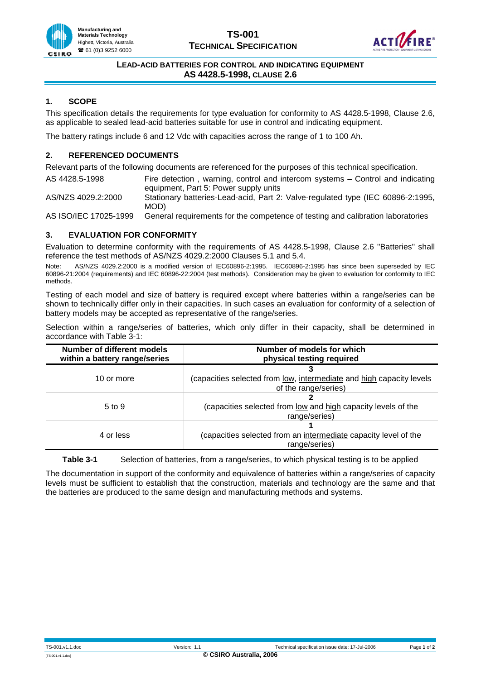



#### **LEAD-ACID BATTERIES FOR CONTROL AND INDICATING EQUIPMENT AS 4428.5-1998, CLAUSE 2.6**

# **1. SCOPE**

This specification details the requirements for type evaluation for conformity to AS 4428.5-1998, Clause 2.6, as applicable to sealed lead-acid batteries suitable for use in control and indicating equipment.

The battery ratings include 6 and 12 Vdc with capacities across the range of 1 to 100 Ah.

### **2. REFERENCED DOCUMENTS**

Relevant parts of the following documents are referenced for the purposes of this technical specification.

AS 4428.5-1998 Fire detection , warning, control and intercom systems – Control and indicating equipment, Part 5: Power supply units

AS/NZS 4029.2:2000 Stationary batteries-Lead-acid, Part 2: Valve-regulated type (IEC 60896-2:1995, MOD)

AS ISO/IEC 17025-1999 General requirements for the competence of testing and calibration laboratories

# **3. EVALUATION FOR CONFORMITY**

Evaluation to determine conformity with the requirements of AS 4428.5-1998, Clause 2.6 "Batteries" shall reference the test methods of AS/NZS 4029.2:2000 Clauses 5.1 and 5.4.

Note: AS/NZS 4029.2:2000 is a modified version of IEC60896-2:1995. IEC60896-2:1995 has since been superseded by IEC 60896-21:2004 (requirements) and IEC 60896-22:2004 (test methods). Consideration may be given to evaluation for conformity to IEC methods.

Testing of each model and size of battery is required except where batteries within a range/series can be shown to technically differ only in their capacities. In such cases an evaluation for conformity of a selection of battery models may be accepted as representative of the range/series.

Selection within a range/series of batteries, which only differ in their capacity, shall be determined in accordance with Table 3-1:

| Number of different models<br>within a battery range/series | Number of models for which<br>physical testing required                                      |
|-------------------------------------------------------------|----------------------------------------------------------------------------------------------|
| 10 or more                                                  | (capacities selected from low, intermediate and high capacity levels<br>of the range/series) |
| $5 \text{ to } 9$                                           | (capacities selected from low and high capacity levels of the<br>range/series)               |
| 4 or less                                                   | (capacities selected from an intermediate capacity level of the<br>range/series)             |

**Table 3-1** Selection of batteries, from a range/series, to which physical testing is to be applied

The documentation in support of the conformity and equivalence of batteries within a range/series of capacity levels must be sufficient to establish that the construction, materials and technology are the same and that the batteries are produced to the same design and manufacturing methods and systems.